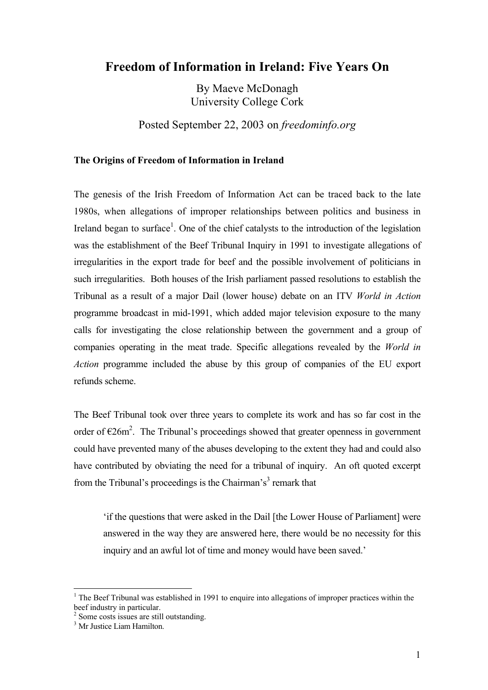# **Freedom of Information in Ireland: Five Years On**

By Maeve McDonagh University College Cork

Posted September 22, 2003 on *freedominfo.org*

### **The Origins of Freedom of Information in Ireland**

The genesis of the Irish Freedom of Information Act can be traced back to the late 1980s, when allegations of improper relationships between politics and business in Ireland began to surface<sup>[1](#page-0-0)</sup>. One of the chief catalysts to the introduction of the legislation was the establishment of the Beef Tribunal Inquiry in 1991 to investigate allegations of irregularities in the export trade for beef and the possible involvement of politicians in such irregularities. Both houses of the Irish parliament passed resolutions to establish the Tribunal as a result of a major Dail (lower house) debate on an ITV *World in Action*  programme broadcast in mid-1991, which added major television exposure to the many calls for investigating the close relationship between the government and a group of companies operating in the meat trade. Specific allegations revealed by the *World in Action* programme included the abuse by this group of companies of the EU export refunds scheme.

The Beef Tribunal took over three years to complete its work and has so far cost in the order of  $\epsilon$ [2](#page-0-1)6m<sup>2</sup>. The Tribunal's proceedings showed that greater openness in government could have prevented many of the abuses developing to the extent they had and could also have contributed by obviating the need for a tribunal of inquiry. An oft quoted excerpt fromthe Tribunal's proceedings is the Chairman's<sup>3</sup> remark that

'if the questions that were asked in the Dail [the Lower House of Parliament] were answered in the way they are answered here, there would be no necessity for this inquiry and an awful lot of time and money would have been saved.'

<span id="page-0-0"></span><sup>&</sup>lt;sup>1</sup> The Beef Tribunal was established in 1991 to enquire into allegations of improper practices within the beef industry in particular.

<span id="page-0-1"></span> $\frac{2}{3}$  Some costs issues are still outstanding.

<span id="page-0-2"></span>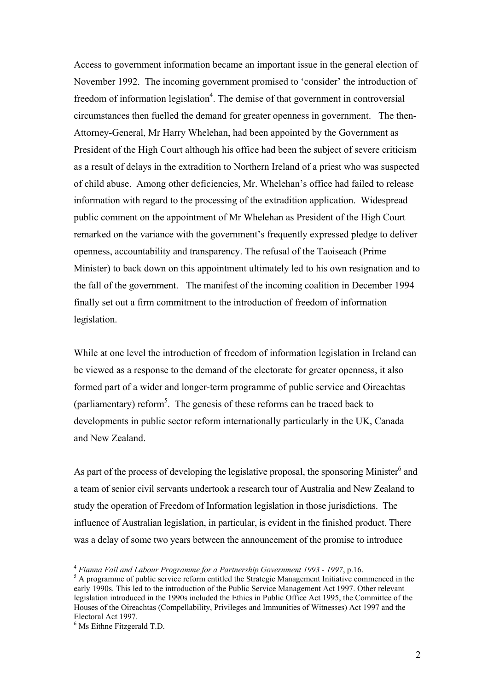Access to government information became an important issue in the general election of November 1992. The incoming government promised to 'consider' the introduction of freedom of information legislation<sup>[4](#page-1-0)</sup>. The demise of that government in controversial circumstances then fuelled the demand for greater openness in government. The then-Attorney-General, Mr Harry Whelehan, had been appointed by the Government as President of the High Court although his office had been the subject of severe criticism as a result of delays in the extradition to Northern Ireland of a priest who was suspected of child abuse. Among other deficiencies, Mr. Whelehan's office had failed to release information with regard to the processing of the extradition application. Widespread public comment on the appointment of Mr Whelehan as President of the High Court remarked on the variance with the government's frequently expressed pledge to deliver openness, accountability and transparency. The refusal of the Taoiseach (Prime Minister) to back down on this appointment ultimately led to his own resignation and to the fall of the government. The manifest of the incoming coalition in December 1994 finally set out a firm commitment to the introduction of freedom of information legislation.

While at one level the introduction of freedom of information legislation in Ireland can be viewed as a response to the demand of the electorate for greater openness, it also formed part of a wider and longer-term programme of public service and Oireachtas (parliamentary) reform<sup>5</sup>. The genesis of these reforms can be traced back to developments in public sector reform internationally particularly in the UK, Canada and New Zealand.

As part of the process of developing the legislative proposal, the sponsoring Minister $^6$  and a team of senior civil servants undertook a research tour of Australia and New Zealand to study the operation of Freedom of Information legislation in those jurisdictions. The influence of Australian legislation, in particular, is evident in the finished product. There was a delay of some two years between the announcement of the promise to introduce

<span id="page-1-0"></span><sup>4</sup> *Fianna Fail and Labour Programme for a Partnership Government 1993 - 1997*, p.16. <sup>5</sup>

<span id="page-1-1"></span><sup>&</sup>lt;sup>5</sup> A programme of public service reform entitled the Strategic Management Initiative commenced in the early 1990s. This led to the introduction of the Public Service Management Act 1997. Other relevant legislation introduced in the 1990s included the Ethics in Public Office Act 1995, the Committee of the Houses of the Oireachtas (Compellability, Privileges and Immunities of Witnesses) Act 1997 and the Electoral Act 1997.

<span id="page-1-2"></span> $<sup>6</sup>$  Ms Eithne Fitzgerald T.D.</sup>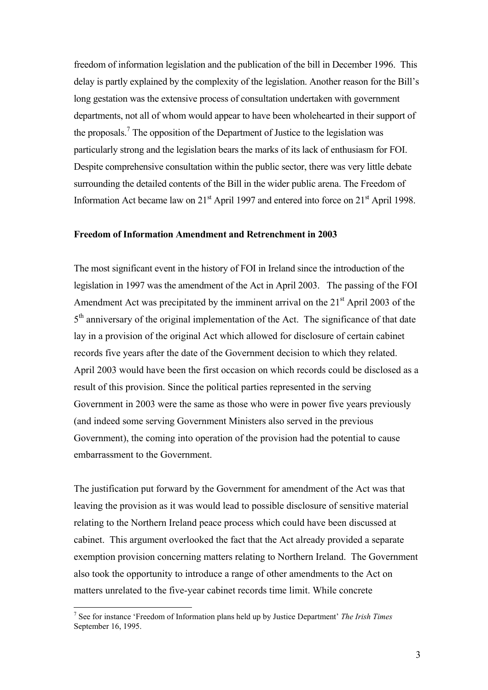freedom of information legislation and the publication of the bill in December 1996. This delay is partly explained by the complexity of the legislation. Another reason for the Bill's long gestation was the extensive process of consultation undertaken with government departments, not all of whom would appear to have been wholehearted in their support of the proposals.<sup>[7](#page-2-0)</sup> The opposition of the Department of Justice to the legislation was particularly strong and the legislation bears the marks of its lack of enthusiasm for FOI. Despite comprehensive consultation within the public sector, there was very little debate surrounding the detailed contents of the Bill in the wider public arena. The Freedom of Information Act became law on  $21<sup>st</sup>$  April 1997 and entered into force on  $21<sup>st</sup>$  April 1998.

#### **Freedom of Information Amendment and Retrenchment in 2003**

The most significant event in the history of FOI in Ireland since the introduction of the legislation in 1997 was the amendment of the Act in April 2003. The passing of the FOI Amendment Act was precipitated by the imminent arrival on the  $21<sup>st</sup>$  April 2003 of the 5<sup>th</sup> anniversary of the original implementation of the Act. The significance of that date lay in a provision of the original Act which allowed for disclosure of certain cabinet records five years after the date of the Government decision to which they related. April 2003 would have been the first occasion on which records could be disclosed as a result of this provision. Since the political parties represented in the serving Government in 2003 were the same as those who were in power five years previously (and indeed some serving Government Ministers also served in the previous Government), the coming into operation of the provision had the potential to cause embarrassment to the Government.

The justification put forward by the Government for amendment of the Act was that leaving the provision as it was would lead to possible disclosure of sensitive material relating to the Northern Ireland peace process which could have been discussed at cabinet. This argument overlooked the fact that the Act already provided a separate exemption provision concerning matters relating to Northern Ireland. The Government also took the opportunity to introduce a range of other amendments to the Act on matters unrelated to the five-year cabinet records time limit. While concrete

<span id="page-2-0"></span><sup>7</sup> See for instance 'Freedom of Information plans held up by Justice Department' *The Irish Times* September 16, 1995.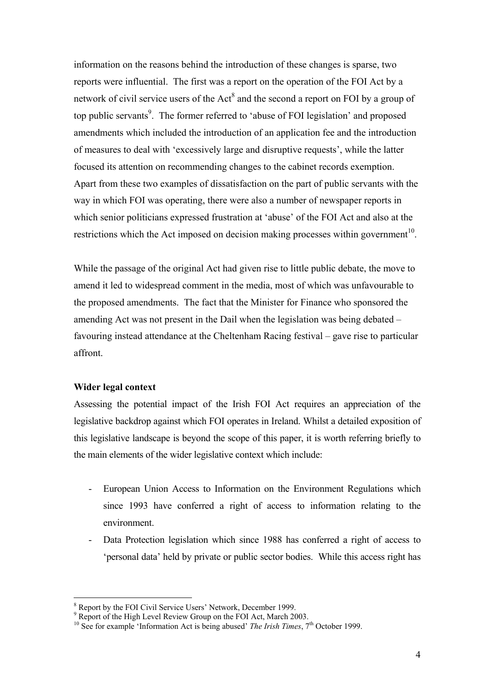information on the reasons behind the introduction of these changes is sparse, two reports were influential. The first was a report on the operation of the FOI Act by a network of civil service users of the  $Act^8$  $Act^8$  and the second a report on FOI by a group of top public servants<sup>[9](#page-3-1)</sup>. The former referred to 'abuse of FOI legislation' and proposed amendments which included the introduction of an application fee and the introduction of measures to deal with 'excessively large and disruptive requests', while the latter focused its attention on recommending changes to the cabinet records exemption. Apart from these two examples of dissatisfaction on the part of public servants with the way in which FOI was operating, there were also a number of newspaper reports in which senior politicians expressed frustration at 'abuse' of the FOI Act and also at the restrictions which the Act imposed on decision making processes within government $10$ .

While the passage of the original Act had given rise to little public debate, the move to amend it led to widespread comment in the media, most of which was unfavourable to the proposed amendments. The fact that the Minister for Finance who sponsored the amending Act was not present in the Dail when the legislation was being debated – favouring instead attendance at the Cheltenham Racing festival – gave rise to particular affront.

### **Wider legal context**

 $\overline{a}$ 

Assessing the potential impact of the Irish FOI Act requires an appreciation of the legislative backdrop against which FOI operates in Ireland. Whilst a detailed exposition of this legislative landscape is beyond the scope of this paper, it is worth referring briefly to the main elements of the wider legislative context which include:

- European Union Access to Information on the Environment Regulations which since 1993 have conferred a right of access to information relating to the environment.
- Data Protection legislation which since 1988 has conferred a right of access to 'personal data' held by private or public sector bodies. While this access right has

<span id="page-3-0"></span> $\frac{8}{9}$  Report by the FOI Civil Service Users' Network, December 1999.

<span id="page-3-1"></span>Report of the High Level Review Group on the FOI Act, March 2003.<br><sup>10</sup> See for example 'Information Act is being abused' *The Irish Times*, 7<sup>th</sup> October 1999.

<span id="page-3-2"></span>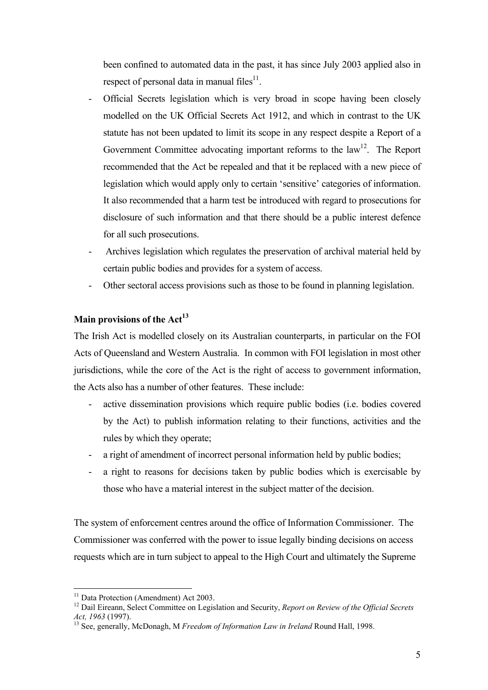been confined to automated data in the past, it has since July 2003 applied also in respect of personal data in manual files $11$ .

- Official Secrets legislation which is very broad in scope having been closely modelled on the UK Official Secrets Act 1912, and which in contrast to the UK statute has not been updated to limit its scope in any respect despite a Report of a Government Committee advocating important reforms to the  $law<sup>12</sup>$ . The Report recommended that the Act be repealed and that it be replaced with a new piece of legislation which would apply only to certain 'sensitive' categories of information. It also recommended that a harm test be introduced with regard to prosecutions for disclosure of such information and that there should be a public interest defence for all such prosecutions.
- Archives legislation which regulates the preservation of archival material held by certain public bodies and provides for a system of access.
- Other sectoral access provisions such as those to be found in planning legislation.

# **Main provisions of the Act<sup>13</sup>**

The Irish Act is modelled closely on its Australian counterparts, in particular on the FOI Acts of Queensland and Western Australia. In common with FOI legislation in most other jurisdictions, while the core of the Act is the right of access to government information, the Acts also has a number of other features. These include:

- active dissemination provisions which require public bodies (i.e. bodies covered by the Act) to publish information relating to their functions, activities and the rules by which they operate;
- a right of amendment of incorrect personal information held by public bodies;
- a right to reasons for decisions taken by public bodies which is exercisable by those who have a material interest in the subject matter of the decision.

The system of enforcement centres around the office of Information Commissioner. The Commissioner was conferred with the power to issue legally binding decisions on access requests which are in turn subject to appeal to the High Court and ultimately the Supreme

<span id="page-4-0"></span><sup>&</sup>lt;sup>11</sup> Data Protection (Amendment) Act 2003.

<span id="page-4-1"></span><sup>&</sup>lt;sup>12</sup> Dail Eireann, Select Committee on Legislation and Security, *Report on Review of the Official Secrets Act, 1963* (1997). 13 See, generally, McDonagh, <sup>M</sup> *Freedom of Information Law in Ireland* Round Hall, 1998.

<span id="page-4-2"></span>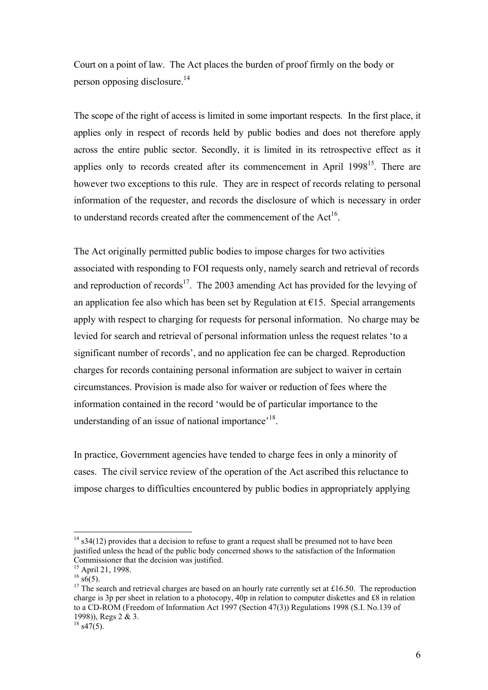Court on a point of law. The Act places the burden of proof firmly on the body or person opposing disclosure.[14](#page-5-0) 

The scope of the right of access is limited in some important respects. In the first place, it applies only in respect of records held by public bodies and does not therefore apply across the entire public sector. Secondly, it is limited in its retrospective effect as it applies only to records created after its commencement in April  $1998<sup>15</sup>$ . There are however two exceptions to this rule. They are in respect of records relating to personal information of the requester, and records the disclosure of which is necessary in order to understand records created after the commencement of the Act<sup>16</sup>.

The Act originally permitted public bodies to impose charges for two activities associated with responding to FOI requests only, namely search and retrieval of records and reproduction of records<sup>17</sup>. The 2003 amending Act has provided for the levying of an application fee also which has been set by Regulation at  $E15$ . Special arrangements apply with respect to charging for requests for personal information. No charge may be levied for search and retrieval of personal information unless the request relates 'to a significant number of records', and no application fee can be charged. Reproduction charges for records containing personal information are subject to waiver in certain circumstances. Provision is made also for waiver or reduction of fees where the information contained in the record 'would be of particular importance to the understanding of an issue of national importance<sup>'18</sup>.

In practice, Government agencies have tended to charge fees in only a minority of cases. The civil service review of the operation of the Act ascribed this reluctance to impose charges to difficulties encountered by public bodies in appropriately applying

<span id="page-5-0"></span> $14$  s34(12) provides that a decision to refuse to grant a request shall be presumed not to have been justified unless the head of the public body concerned shows to the satisfaction of the Information

<span id="page-5-1"></span>

<span id="page-5-3"></span><span id="page-5-2"></span>

<sup>&</sup>lt;sup>15</sup> April 21, 1998.<br><sup>16</sup> s6(5).<br><sup>17</sup> The search and retrieval charges are based on an hourly rate currently set at £16.50. The reproduction charge is 3p per sheet in relation to a photocopy, 40p in relation to computer diskettes and £8 in relation to a CD-ROM (Freedom of Information Act 1997 (Section 47(3)) Regulations 1998 (S.I. No.139 of 1998)), Regs 2 & 3.<br><sup>18</sup> s47(5).

<span id="page-5-4"></span>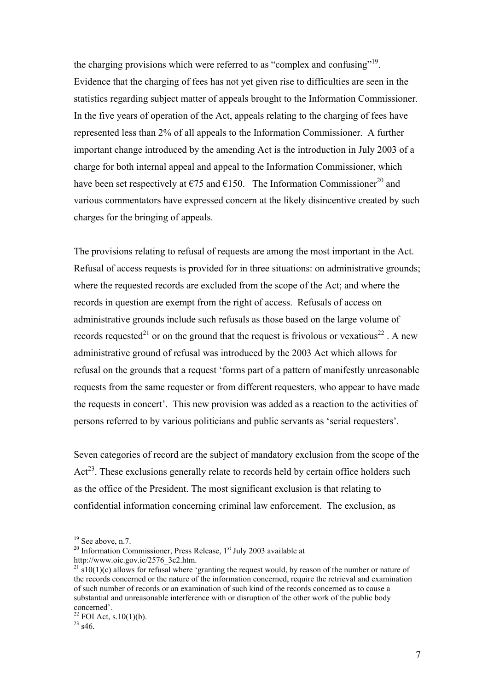the charging provisions which were referred to as "complex and confusing"<sup>19</sup>. Evidence that the charging of fees has not yet given rise to difficulties are seen in the statistics regarding subject matter of appeals brought to the Information Commissioner. In the five years of operation of the Act, appeals relating to the charging of fees have represented less than 2% of all appeals to the Information Commissioner. A further important change introduced by the amending Act is the introduction in July 2003 of a charge for both internal appeal and appeal to the Information Commissioner, which have been set respectively at  $\epsilon$ 75 and  $\epsilon$ 150. The Information Commissioner<sup>20</sup> and various commentators have expressed concern at the likely disincentive created by such charges for the bringing of appeals.

The provisions relating to refusal of requests are among the most important in the Act. Refusal of access requests is provided for in three situations: on administrative grounds; where the requested records are excluded from the scope of the Act; and where the records in question are exempt from the right of access. Refusals of access on administrative grounds include such refusals as those based on the large volume of records requested<sup>21</sup> or on the ground that the request is frivolous or vexatious<sup>22</sup>. A new administrative ground of refusal was introduced by the 2003 Act which allows for refusal on the grounds that a request 'forms part of a pattern of manifestly unreasonable requests from the same requester or from different requesters, who appear to have made the requests in concert'. This new provision was added as a reaction to the activities of persons referred to by various politicians and public servants as 'serial requesters'.

Seven categories of record are the subject of mandatory exclusion from the scope of the  $Act^{23}$ . These exclusions generally relate to records held by certain office holders such as the office of the President. The most significant exclusion is that relating to confidential information concerning criminal law enforcement. The exclusion, as

<span id="page-6-0"></span> $19$  See above, n.7.

<span id="page-6-1"></span><sup>&</sup>lt;sup>20</sup> Information Commissioner, Press Release,  $1^{st}$  July 2003 available at http://www.oic.gov.ie/2576 3c2.htm.

<span id="page-6-2"></span> $\frac{21}{10}$  s10(1)(c) allows for refusal where 'granting the request would, by reason of the number or nature of the records concerned or the nature of the information concerned, require the retrieval and examination of such number of records or an examination of such kind of the records concerned as to cause a substantial and unreasonable interference with or disruption of the other work of the public body

<span id="page-6-3"></span> $\frac{22}{23}$  FOI Act, s.10(1)(b).

<span id="page-6-4"></span>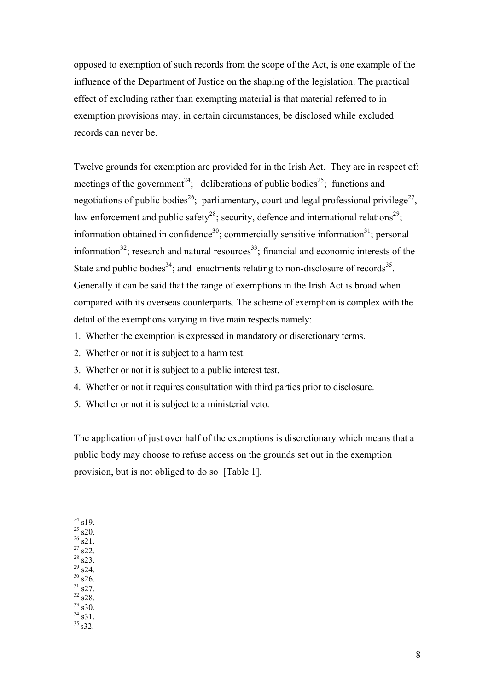opposed to exemption of such records from the scope of the Act, is one example of the influence of the Department of Justice on the shaping of the legislation. The practical effect of excluding rather than exempting material is that material referred to in exemption provisions may, in certain circumstances, be disclosed while excluded records can never be.

Twelve grounds for exemption are provided for in the Irish Act. They are in respect of: meetings of the government<sup>24</sup>; deliberations of public bodies<sup>25</sup>; functions and negotiations of public bodies<sup>26</sup>; parliamentary, court and legal professional privilege<sup>27</sup>, law enforcement and public safety<sup>28</sup>; security, defence and international relations<sup>29</sup>; information obtained in confidence<sup>30</sup>; commercially sensitive information<sup>31</sup>; personal information<sup>32</sup>; research and natural resources<sup>33</sup>; financial and economic interests of the State and public bodies<sup>34</sup>; and enactments relating to non-disclosure of records<sup>35</sup>. Generally it can be said that the range of exemptions in the Irish Act is broad when compared with its overseas counterparts. The scheme of exemption is complex with the detail of the exemptions varying in five main respects namely:

- 1. Whether the exemption is expressed in mandatory or discretionary terms.
- 2. Whether or not it is subject to a harm test.
- 3. Whether or not it is subject to a public interest test.
- 4. Whether or not it requires consultation with third parties prior to disclosure.
- 5. Whether or not it is subject to a ministerial veto.

The application of just over half of the exemptions is discretionary which means that a public body may choose to refuse access on the grounds set out in the exemption provision, but is not obliged to do so [Table 1].

- $\overline{a}$  $^{24}$  s19.
- <span id="page-7-1"></span><span id="page-7-0"></span> $25 \times 20.$  $^{26}$  s21.
- <span id="page-7-3"></span><span id="page-7-2"></span> $^{27}$  s22.
- <span id="page-7-4"></span> $^{28}$  s23.
- <span id="page-7-5"></span> $^{29}$  s24.  $30\frac{32}{150}$
- <span id="page-7-6"></span> $31 \frac{32}{1}$  s27.
- <span id="page-7-8"></span><span id="page-7-7"></span> $32 \frac{32}{10}$
- <span id="page-7-9"></span> $33 \times 30.$  $34\overline{\smash{\big)}\,}31.$
- <span id="page-7-11"></span><span id="page-7-10"></span> $35 \times 32$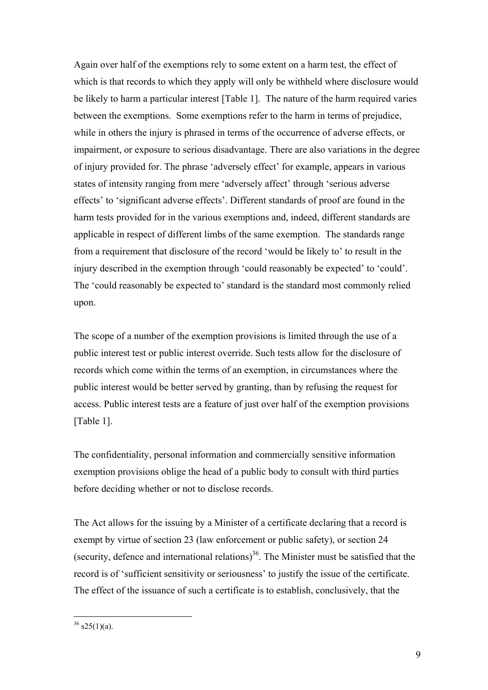Again over half of the exemptions rely to some extent on a harm test, the effect of which is that records to which they apply will only be withheld where disclosure would be likely to harm a particular interest [Table 1]. The nature of the harm required varies between the exemptions. Some exemptions refer to the harm in terms of prejudice, while in others the injury is phrased in terms of the occurrence of adverse effects, or impairment, or exposure to serious disadvantage. There are also variations in the degree of injury provided for. The phrase 'adversely effect' for example, appears in various states of intensity ranging from mere 'adversely affect' through 'serious adverse effects' to 'significant adverse effects'. Different standards of proof are found in the harm tests provided for in the various exemptions and, indeed, different standards are applicable in respect of different limbs of the same exemption. The standards range from a requirement that disclosure of the record 'would be likely to' to result in the injury described in the exemption through 'could reasonably be expected' to 'could'. The 'could reasonably be expected to' standard is the standard most commonly relied upon.

The scope of a number of the exemption provisions is limited through the use of a public interest test or public interest override. Such tests allow for the disclosure of records which come within the terms of an exemption, in circumstances where the public interest would be better served by granting, than by refusing the request for access. Public interest tests are a feature of just over half of the exemption provisions [Table 1].

The confidentiality, personal information and commercially sensitive information exemption provisions oblige the head of a public body to consult with third parties before deciding whether or not to disclose records.

The Act allows for the issuing by a Minister of a certificate declaring that a record is exempt by virtue of section 23 (law enforcement or public safety), or section 24 (security, defence and international relations)<sup>36</sup>. The Minister must be satisfied that the record is of 'sufficient sensitivity or seriousness' to justify the issue of the certificate. The effect of the issuance of such a certificate is to establish, conclusively, that the

<span id="page-8-0"></span> $36$  s25(1)(a).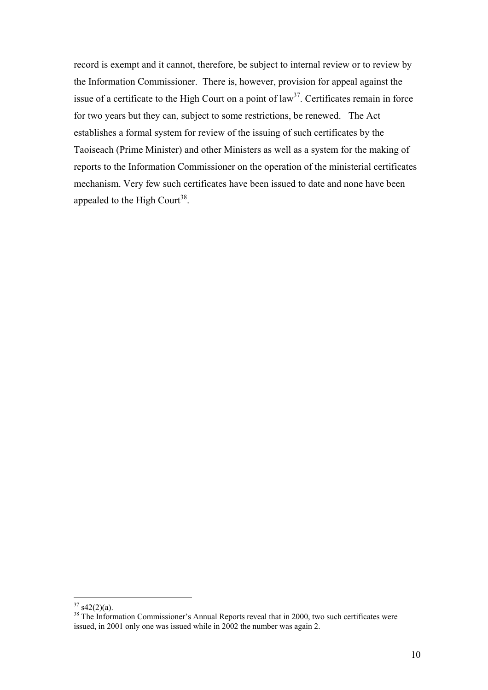record is exempt and it cannot, therefore, be subject to internal review or to review by the Information Commissioner. There is, however, provision for appeal against the issue of a certificate to the High Court on a point of  $law<sup>37</sup>$ . Certificates remain in force for two years but they can, subject to some restrictions, be renewed. The Act establishes a formal system for review of the issuing of such certificates by the Taoiseach (Prime Minister) and other Ministers as well as a system for the making of reports to the Information Commissioner on the operation of the ministerial certificates mechanism. Very few such certificates have been issued to date and none have been appealed to the High Court<sup>38</sup>.

<span id="page-9-0"></span> $37 \text{ s}42(2)(a)$ .

<span id="page-9-1"></span> $38$  The Information Commissioner's Annual Reports reveal that in 2000, two such certificates were issued, in 2001 only one was issued while in 2002 the number was again 2.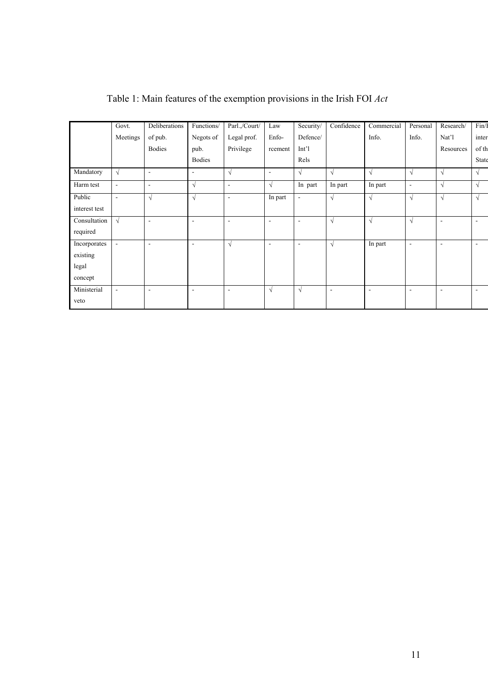|               | Govt.                    | Deliberations            | Functions/               | Parl.,/Court/            | Law                      | Security/                | Confidence               | Commercial               | Personal                 | Research/                | Fin/I                    |
|---------------|--------------------------|--------------------------|--------------------------|--------------------------|--------------------------|--------------------------|--------------------------|--------------------------|--------------------------|--------------------------|--------------------------|
|               | Meetings                 | of pub.                  | Negots of                | Legal prof.              | Enfo-                    | Defence/                 |                          | Info.                    | Info.                    | Nat'l                    | inter                    |
|               |                          | <b>Bodies</b>            | pub.                     | Privilege                | rcement                  | Int'l                    |                          |                          |                          | Resources                | of th                    |
|               |                          |                          | <b>Bodies</b>            |                          |                          | Rels                     |                          |                          |                          |                          | State                    |
| Mandatory     | $\sqrt{ }$               | $\blacksquare$           | $\overline{\phantom{a}}$ | $\sqrt{ }$               | $\blacksquare$           | $\sqrt{ }$               | $\sqrt{ }$               | $\sqrt{ }$               | $\sqrt{ }$               | $\sqrt{ }$               | $\sqrt{ }$               |
| Harm test     | $\sim$                   | $\blacksquare$           | $\sqrt{ }$               | $\blacksquare$           | $\sqrt{ }$               | In part                  | In part                  | In part                  | $\blacksquare$           | $\sqrt{ }$               | $\sqrt{ }$               |
| Public        | $\overline{\phantom{a}}$ | $\sqrt{ }$               | $\sqrt{ }$               | $\overline{\phantom{a}}$ | In part                  | $\sim$                   | $\sqrt{ }$               | $\sqrt{ }$               | $\sqrt{ }$               | $\sqrt{ }$               | $\sqrt{ }$               |
| interest test |                          |                          |                          |                          |                          |                          |                          |                          |                          |                          |                          |
| Consultation  | $\sqrt{ }$               | $\blacksquare$           | $\blacksquare$           | $\overline{a}$           | $\overline{\phantom{a}}$ | $\overline{\phantom{a}}$ | $\sqrt{ }$               | $\sqrt{ }$               | $\sqrt{ }$               | ٠                        | $\sim$                   |
| required      |                          |                          |                          |                          |                          |                          |                          |                          |                          |                          |                          |
| Incorporates  | $\overline{\phantom{a}}$ | $\overline{\phantom{a}}$ | $\overline{\phantom{a}}$ | $\sqrt{ }$               | $\overline{\phantom{a}}$ | $\overline{\phantom{a}}$ | $\sqrt{ }$               | In part                  | $\overline{\phantom{a}}$ | $\overline{\phantom{0}}$ | $\overline{\phantom{a}}$ |
| existing      |                          |                          |                          |                          |                          |                          |                          |                          |                          |                          |                          |
| legal         |                          |                          |                          |                          |                          |                          |                          |                          |                          |                          |                          |
| concept       |                          |                          |                          |                          |                          |                          |                          |                          |                          |                          |                          |
| Ministerial   | $\overline{\phantom{a}}$ | $\overline{\phantom{a}}$ | $\overline{\phantom{a}}$ | $\overline{\phantom{a}}$ | $\sqrt{ }$               | $\sqrt{ }$               | $\overline{\phantom{a}}$ | $\overline{\phantom{a}}$ | $\overline{\phantom{a}}$ | $\overline{\phantom{0}}$ | ۰.                       |
| veto          |                          |                          |                          |                          |                          |                          |                          |                          |                          |                          |                          |

| Table 1: Main features of the exemption provisions in the Irish FOI Act |  |
|-------------------------------------------------------------------------|--|
|-------------------------------------------------------------------------|--|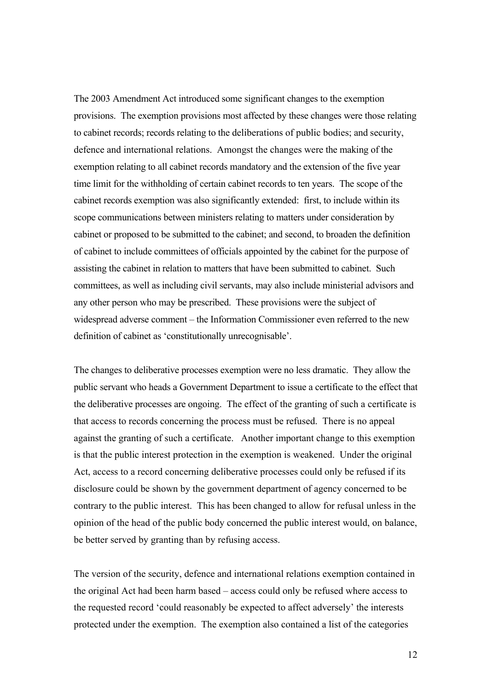The 2003 Amendment Act introduced some significant changes to the exemption provisions. The exemption provisions most affected by these changes were those relating to cabinet records; records relating to the deliberations of public bodies; and security, defence and international relations. Amongst the changes were the making of the exemption relating to all cabinet records mandatory and the extension of the five year time limit for the withholding of certain cabinet records to ten years. The scope of the cabinet records exemption was also significantly extended: first, to include within its scope communications between ministers relating to matters under consideration by cabinet or proposed to be submitted to the cabinet; and second, to broaden the definition of cabinet to include committees of officials appointed by the cabinet for the purpose of assisting the cabinet in relation to matters that have been submitted to cabinet. Such committees, as well as including civil servants, may also include ministerial advisors and any other person who may be prescribed. These provisions were the subject of widespread adverse comment – the Information Commissioner even referred to the new definition of cabinet as 'constitutionally unrecognisable'.

The changes to deliberative processes exemption were no less dramatic. They allow the public servant who heads a Government Department to issue a certificate to the effect that the deliberative processes are ongoing. The effect of the granting of such a certificate is that access to records concerning the process must be refused. There is no appeal against the granting of such a certificate. Another important change to this exemption is that the public interest protection in the exemption is weakened. Under the original Act, access to a record concerning deliberative processes could only be refused if its disclosure could be shown by the government department of agency concerned to be contrary to the public interest. This has been changed to allow for refusal unless in the opinion of the head of the public body concerned the public interest would, on balance, be better served by granting than by refusing access.

The version of the security, defence and international relations exemption contained in the original Act had been harm based – access could only be refused where access to the requested record 'could reasonably be expected to affect adversely' the interests protected under the exemption. The exemption also contained a list of the categories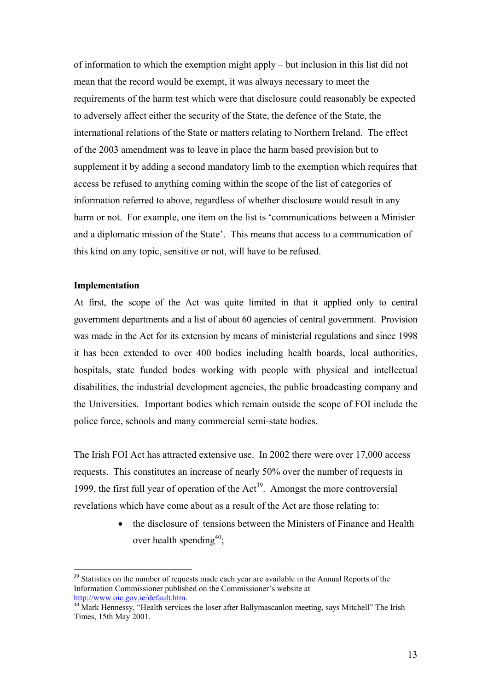of information to which the exemption might apply – but inclusion in this list did not mean that the record would be exempt, it was always necessary to meet the requirements of the harm test which were that disclosure could reasonably be expected to adversely affect either the security of the State, the defence of the State, the international relations of the State or matters relating to Northern Ireland. The effect of the 2003 amendment was to leave in place the harm based provision but to supplement it by adding a second mandatory limb to the exemption which requires that access be refused to anything coming within the scope of the list of categories of information referred to above, regardless of whether disclosure would result in any harm or not. For example, one item on the list is 'communications between a Minister and a diplomatic mission of the State'. This means that access to a communication of this kind on any topic, sensitive or not, will have to be refused.

#### **Implementation**

 $\overline{a}$ 

At first, the scope of the Act was quite limited in that it applied only to central government departments and a list of about 60 agencies of central government. Provision was made in the Act for its extension by means of ministerial regulations and since 1998 it has been extended to over 400 bodies including health boards, local authorities, hospitals, state funded bodes working with people with physical and intellectual disabilities, the industrial development agencies, the public broadcasting company and the Universities. Important bodies which remain outside the scope of FOI include the police force, schools and many commercial semi-state bodies.

The Irish FOI Act has attracted extensive use. In 2002 there were over 17,000 access requests. This constitutes an increase of nearly 50% over the number of requests in 1999, the first full year of operation of the  $Act<sup>39</sup>$ . Amongst the more controversial revelations which have come about as a result of the Act are those relating to:

> • the disclosure of tensions between the Ministers of Finance and Health over health spending<sup>40</sup>;

<span id="page-12-0"></span><sup>&</sup>lt;sup>39</sup> Statistics on the number of requests made each year are available in the Annual Reports of the Information Commissioner published on the Commissioner's website at http://www.oic.gov.je/default.htm.

<span id="page-12-1"></span> $\frac{40}{40}$  $\frac{40}{40}$  $\frac{40}{40}$  Mark Hennessy, "Health services the loser after Ballymascanlon meeting, says Mitchell" The Irish Times, 15th May 2001.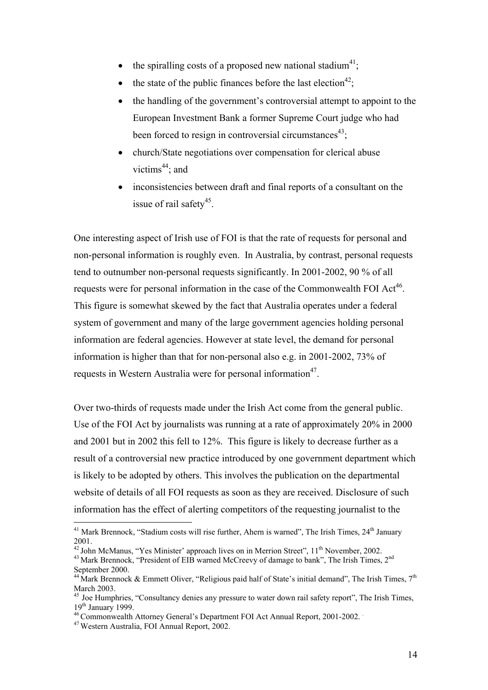- the spiralling costs of a proposed new national stadium<sup>41</sup>;
- the state of the public finances before the last election<sup>42</sup>;
- the handling of the government's controversial attempt to appoint to the European Investment Bank a former Supreme Court judge who had been forced to resign in controversial circumstances<sup>43</sup>;
- church/State negotiations over compensation for clerical abuse victims<sup>44</sup>; and
- inconsistencies between draft and final reports of a consultant on the issue of rail safety $45$ .

One interesting aspect of Irish use of FOI is that the rate of requests for personal and non-personal information is roughly even. In Australia, by contrast, personal requests tend to outnumber non-personal requests significantly. In 2001-2002, 90 % of all requests were for personal information in the case of the Commonwealth FOI  $Act^{46}$ . This figure is somewhat skewed by the fact that Australia operates under a federal system of government and many of the large government agencies holding personal information are federal agencies. However at state level, the demand for personal information is higher than that for non-personal also e.g. in 2001-2002, 73% of requests in Western Australia were for personal information<sup>47</sup>.

Over two-thirds of requests made under the Irish Act come from the general public. Use of the FOI Act by journalists was running at a rate of approximately 20% in 2000 and 2001 but in 2002 this fell to 12%. This figure is likely to decrease further as a result of a controversial new practice introduced by one government department which is likely to be adopted by others. This involves the publication on the departmental website of details of all FOI requests as soon as they are received. Disclosure of such information has the effect of alerting competitors of the requesting journalist to the

2001.<br><sup>42</sup> John McManus, "Yes Minister' approach lives on in Merrion Street",  $11^{th}$  November, 2002.<br><sup>43</sup> Mark Brennock, "President of EIB warned McCreevy of damage to bank", The Irish Times, 2<sup>nd</sup><br>September 2000.

<span id="page-13-0"></span> $41$  Mark Brennock, "Stadium costs will rise further, Ahern is warned", The Irish Times,  $24<sup>th</sup>$  January

<span id="page-13-2"></span><span id="page-13-1"></span>

<span id="page-13-3"></span><sup>&</sup>lt;sup>44</sup> Mark Brennock & Emmett Oliver, "Religious paid half of State's initial demand", The Irish Times, 7<sup>th</sup> March 2003.

<span id="page-13-4"></span><sup>&</sup>lt;sup>45</sup> Joe Humphries, "Consultancy denies any pressure to water down rail safety report", The Irish Times,  $19<sup>th</sup>$  January 1999.

<span id="page-13-5"></span><sup>46</sup> Commonwealth Attorney General's Department FOI Act Annual Report, 2001-2002. .

<span id="page-13-6"></span><sup>47</sup> Western Australia, FOI Annual Report, 2002.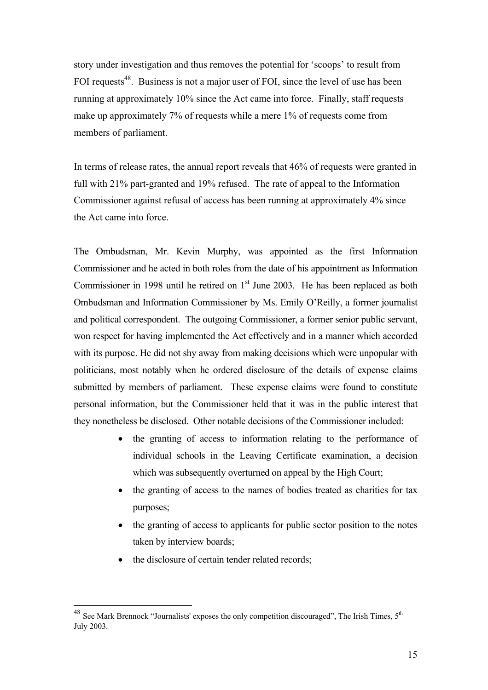story under investigation and thus removes the potential for 'scoops' to result from FOI requests<sup>48</sup>. Business is not a major user of FOI, since the level of use has been running at approximately 10% since the Act came into force. Finally, staff requests make up approximately 7% of requests while a mere 1% of requests come from members of parliament.

In terms of release rates, the annual report reveals that 46% of requests were granted in full with 21% part-granted and 19% refused. The rate of appeal to the Information Commissioner against refusal of access has been running at approximately 4% since the Act came into force.

The Ombudsman, Mr. Kevin Murphy, was appointed as the first Information Commissioner and he acted in both roles from the date of his appointment as Information Commissioner in 1998 until he retired on  $1<sup>st</sup>$  June 2003. He has been replaced as both Ombudsman and Information Commissioner by Ms. Emily O'Reilly, a former journalist and political correspondent. The outgoing Commissioner, a former senior public servant, won respect for having implemented the Act effectively and in a manner which accorded with its purpose. He did not shy away from making decisions which were unpopular with politicians, most notably when he ordered disclosure of the details of expense claims submitted by members of parliament. These expense claims were found to constitute personal information, but the Commissioner held that it was in the public interest that they nonetheless be disclosed. Other notable decisions of the Commissioner included:

- the granting of access to information relating to the performance of individual schools in the Leaving Certificate examination, a decision which was subsequently overturned on appeal by the High Court;
- the granting of access to the names of bodies treated as charities for tax purposes;
- the granting of access to applicants for public sector position to the notes taken by interview boards;
- the disclosure of certain tender related records;

<span id="page-14-0"></span> $^{48}$  See Mark Brennock "Journalists' exposes the only competition discouraged", The Irish Times,  $5<sup>th</sup>$ July 2003.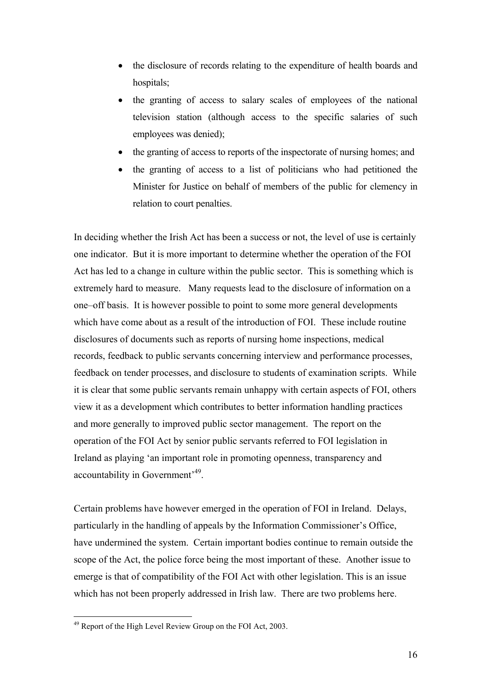- the disclosure of records relating to the expenditure of health boards and hospitals:
- the granting of access to salary scales of employees of the national television station (although access to the specific salaries of such employees was denied);
- the granting of access to reports of the inspectorate of nursing homes; and
- the granting of access to a list of politicians who had petitioned the Minister for Justice on behalf of members of the public for clemency in relation to court penalties.

In deciding whether the Irish Act has been a success or not, the level of use is certainly one indicator. But it is more important to determine whether the operation of the FOI Act has led to a change in culture within the public sector. This is something which is extremely hard to measure. Many requests lead to the disclosure of information on a one–off basis. It is however possible to point to some more general developments which have come about as a result of the introduction of FOI. These include routine disclosures of documents such as reports of nursing home inspections, medical records, feedback to public servants concerning interview and performance processes, feedback on tender processes, and disclosure to students of examination scripts. While it is clear that some public servants remain unhappy with certain aspects of FOI, others view it as a development which contributes to better information handling practices and more generally to improved public sector management. The report on the operation of the FOI Act by senior public servants referred to FOI legislation in Ireland as playing 'an important role in promoting openness, transparency and accountability in Government'[49.](#page-15-0)

Certain problems have however emerged in the operation of FOI in Ireland. Delays, particularly in the handling of appeals by the Information Commissioner's Office, have undermined the system. Certain important bodies continue to remain outside the scope of the Act, the police force being the most important of these. Another issue to emerge is that of compatibility of the FOI Act with other legislation. This is an issue which has not been properly addressed in Irish law. There are two problems here.

<span id="page-15-0"></span><sup>&</sup>lt;sup>49</sup> Report of the High Level Review Group on the FOI Act, 2003.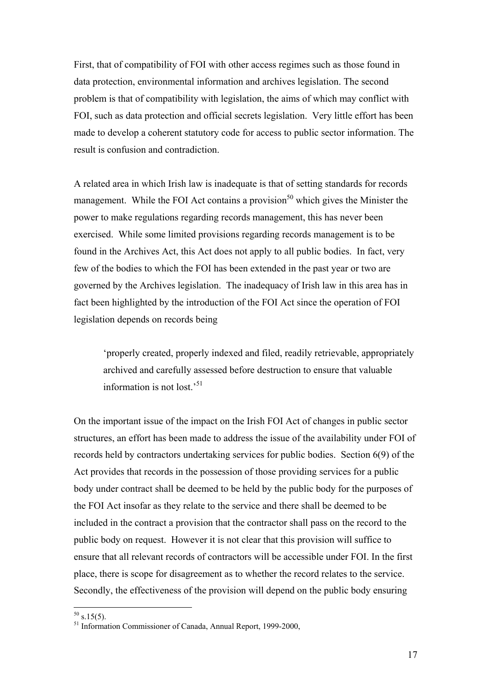First, that of compatibility of FOI with other access regimes such as those found in data protection, environmental information and archives legislation. The second problem is that of compatibility with legislation, the aims of which may conflict with FOI, such as data protection and official secrets legislation. Very little effort has been made to develop a coherent statutory code for access to public sector information. The result is confusion and contradiction.

A related area in which Irish law is inadequate is that of setting standards for records management. While the FOI Act contains a provision<sup>50</sup> which gives the Minister the power to make regulations regarding records management, this has never been exercised. While some limited provisions regarding records management is to be found in the Archives Act, this Act does not apply to all public bodies. In fact, very few of the bodies to which the FOI has been extended in the past year or two are governed by the Archives legislation. The inadequacy of Irish law in this area has in fact been highlighted by the introduction of the FOI Act since the operation of FOI legislation depends on records being

'properly created, properly indexed and filed, readily retrievable, appropriately archived and carefully assessed before destruction to ensure that valuable information is not lost.['51](#page-16-1)

On the important issue of the impact on the Irish FOI Act of changes in public sector structures, an effort has been made to address the issue of the availability under FOI of records held by contractors undertaking services for public bodies. Section 6(9) of the Act provides that records in the possession of those providing services for a public body under contract shall be deemed to be held by the public body for the purposes of the FOI Act insofar as they relate to the service and there shall be deemed to be included in the contract a provision that the contractor shall pass on the record to the public body on request. However it is not clear that this provision will suffice to ensure that all relevant records of contractors will be accessible under FOI. In the first place, there is scope for disagreement as to whether the record relates to the service. Secondly, the effectiveness of the provision will depend on the public body ensuring

<span id="page-16-0"></span> $50$  s.15(5).

<span id="page-16-1"></span> $<sup>51</sup>$  Information Commissioner of Canada, Annual Report, 1999-2000,</sup>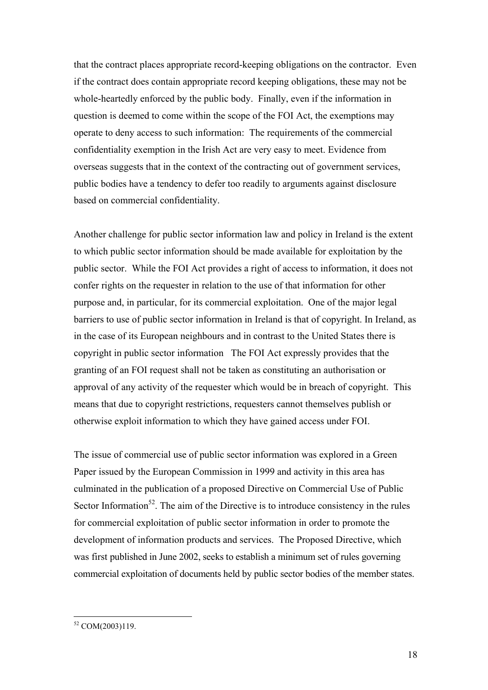that the contract places appropriate record-keeping obligations on the contractor. Even if the contract does contain appropriate record keeping obligations, these may not be whole-heartedly enforced by the public body. Finally, even if the information in question is deemed to come within the scope of the FOI Act, the exemptions may operate to deny access to such information: The requirements of the commercial confidentiality exemption in the Irish Act are very easy to meet. Evidence from overseas suggests that in the context of the contracting out of government services, public bodies have a tendency to defer too readily to arguments against disclosure based on commercial confidentiality.

Another challenge for public sector information law and policy in Ireland is the extent to which public sector information should be made available for exploitation by the public sector. While the FOI Act provides a right of access to information, it does not confer rights on the requester in relation to the use of that information for other purpose and, in particular, for its commercial exploitation. One of the major legal barriers to use of public sector information in Ireland is that of copyright. In Ireland, as in the case of its European neighbours and in contrast to the United States there is copyright in public sector information The FOI Act expressly provides that the granting of an FOI request shall not be taken as constituting an authorisation or approval of any activity of the requester which would be in breach of copyright. This means that due to copyright restrictions, requesters cannot themselves publish or otherwise exploit information to which they have gained access under FOI.

The issue of commercial use of public sector information was explored in a Green Paper issued by the European Commission in 1999 and activity in this area has culminated in the publication of a proposed Directive on Commercial Use of Public Sector Information<sup>52</sup>. The aim of the Directive is to introduce consistency in the rules for commercial exploitation of public sector information in order to promote the development of information products and services. The Proposed Directive, which was first published in June 2002, seeks to establish a minimum set of rules governing commercial exploitation of documents held by public sector bodies of the member states.

<span id="page-17-0"></span> $52$  COM(2003)119.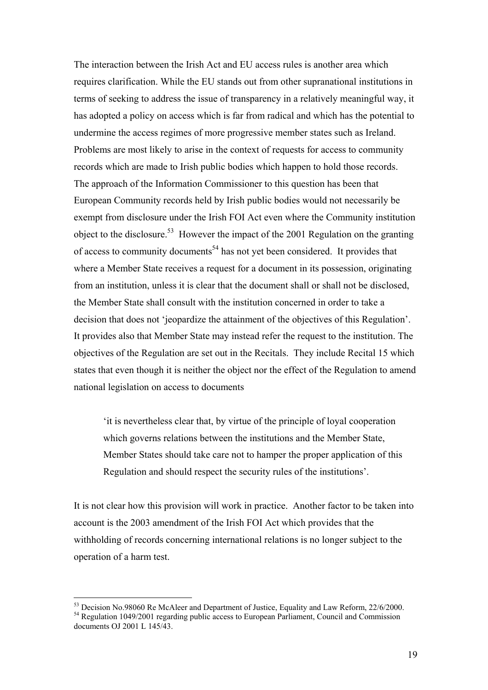The interaction between the Irish Act and EU access rules is another area which requires clarification. While the EU stands out from other supranational institutions in terms of seeking to address the issue of transparency in a relatively meaningful way, it has adopted a policy on access which is far from radical and which has the potential to undermine the access regimes of more progressive member states such as Ireland. Problems are most likely to arise in the context of requests for access to community records which are made to Irish public bodies which happen to hold those records. The approach of the Information Commissioner to this question has been that European Community records held by Irish public bodies would not necessarily be exempt from disclosure under the Irish FOI Act even where the Community institution object to the disclosure.<sup>53</sup> However the impact of the 2001 Regulation on the granting of access to community documents<sup>54</sup> has not yet been considered. It provides that where a Member State receives a request for a document in its possession, originating from an institution, unless it is clear that the document shall or shall not be disclosed, the Member State shall consult with the institution concerned in order to take a decision that does not 'jeopardize the attainment of the objectives of this Regulation'. It provides also that Member State may instead refer the request to the institution. The objectives of the Regulation are set out in the Recitals. They include Recital 15 which states that even though it is neither the object nor the effect of the Regulation to amend national legislation on access to documents

'it is nevertheless clear that, by virtue of the principle of loyal cooperation which governs relations between the institutions and the Member State, Member States should take care not to hamper the proper application of this Regulation and should respect the security rules of the institutions'.

It is not clear how this provision will work in practice. Another factor to be taken into account is the 2003 amendment of the Irish FOI Act which provides that the withholding of records concerning international relations is no longer subject to the operation of a harm test.

<span id="page-18-1"></span><span id="page-18-0"></span> $^{53}$  Decision No.98060 Re McAleer and Department of Justice, Equality and Law Reform, 22/6/2000.<br><sup>54</sup> Regulation 1049/2001 regarding public access to European Parliament, Council and Commission documents OJ 2001 L 145/43.